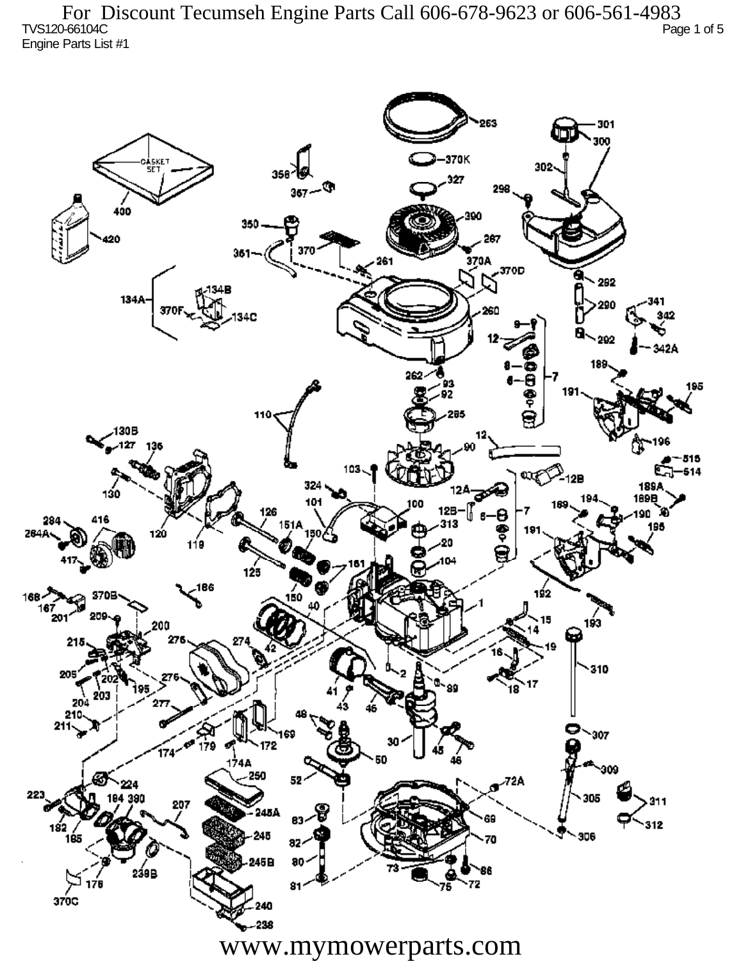TVS120-66104C Page 1 of 5 Engine Parts List #1 For Discount Tecumseh Engine Parts Call 606-678-9623 or 606-561-4983

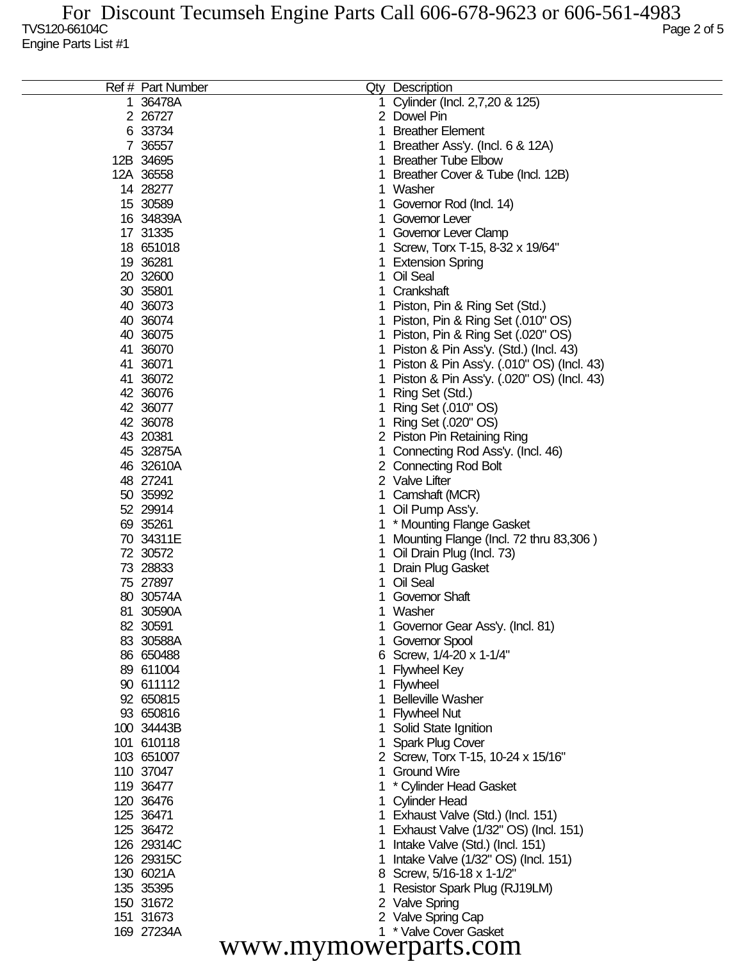| Ref # Part Number |    | Qty Description                           |
|-------------------|----|-------------------------------------------|
| 1 36478A          |    | Cylinder (Incl. 2,7,20 & 125)             |
| 2 26727           |    | 2 Dowel Pin                               |
| 6 33734           |    | <b>Breather Element</b>                   |
| 7 36557           |    | Breather Ass'y. (Incl. 6 & 12A)           |
| 12B 34695         |    | <b>Breather Tube Elbow</b>                |
| 12A 36558         |    | Breather Cover & Tube (Incl. 12B)         |
| 14 28277          |    | Washer                                    |
| 15 30589          |    | Governor Rod (Incl. 14)                   |
| 16 34839A         |    | Governor Lever                            |
| 17 31335          |    | Governor Lever Clamp                      |
| 18 651018         |    | Screw, Torx T-15, 8-32 x 19/64"           |
| 19 36281          |    |                                           |
| 20 32600          |    | <b>Extension Spring</b><br>Oil Seal       |
|                   |    |                                           |
| 30 35801          |    | Crankshaft                                |
| 40 36073          |    | Piston, Pin & Ring Set (Std.)             |
| 40 36074          |    | Piston, Pin & Ring Set (.010" OS)         |
| 40 36075          |    | Piston, Pin & Ring Set (.020" OS)         |
| 41 36070          |    | Piston & Pin Ass'y. (Std.) (Incl. 43)     |
| 41 36071          |    | Piston & Pin Ass'y. (.010" OS) (Incl. 43) |
| 41 36072          |    | Piston & Pin Ass'y. (.020" OS) (Incl. 43) |
| 42 36076          |    | Ring Set (Std.)                           |
| 42 36077          |    | Ring Set (.010" OS)                       |
| 42 36078          |    | Ring Set (.020" OS)                       |
| 43 20381          |    | 2 Piston Pin Retaining Ring               |
| 45 32875A         |    | Connecting Rod Ass'y. (Incl. 46)          |
| 46 32610A         |    | 2 Connecting Rod Bolt                     |
| 48 27241          |    | 2 Valve Lifter                            |
| 50 35992          |    | Camshaft (MCR)                            |
| 52 29914          |    | Oil Pump Ass'y.                           |
| 69 35261          |    | * Mounting Flange Gasket                  |
| 70 34311E         |    | Mounting Flange (Incl. 72 thru 83,306)    |
| 72 30572          |    | Oil Drain Plug (Incl. 73)                 |
| 73 28833          |    | Drain Plug Gasket                         |
| 75 27897          |    | Oil Seal                                  |
| 80 30574A         |    | Governor Shaft                            |
| 81 30590A         |    | Washer                                    |
| 82 30591          |    | Governor Gear Ass'y. (Incl. 81)           |
| 83 30588A         |    | Governor Spool                            |
| 86 650488         |    | 6 Screw, 1/4-20 x 1-1/4"                  |
| 89 611004         |    | <b>Flywheel Key</b>                       |
| 90 611112         |    | 1 Flywheel                                |
| 92 650815         |    | <b>Belleville Washer</b>                  |
| 93 650816         |    | <b>Flywheel Nut</b>                       |
| 100 34443B        |    | Solid State Ignition                      |
| 101 610118        |    | <b>Spark Plug Cover</b>                   |
| 103 651007        |    | 2 Screw, Torx T-15, 10-24 x 15/16"        |
| 110 37047         | 1. | <b>Ground Wire</b>                        |
|                   |    |                                           |
| 119 36477         |    | * Cylinder Head Gasket                    |
| 120 36476         |    | 1 Cylinder Head                           |
| 125 36471         |    | 1 Exhaust Valve (Std.) (Incl. 151)        |
| 125 36472         |    | 1 Exhaust Valve (1/32" OS) (Incl. 151)    |
| 126 29314C        |    | Intake Valve (Std.) (Incl. 151)           |
| 126 29315C        |    | Intake Valve (1/32" OS) (Incl. 151)       |
| 130 6021A         |    | 8 Screw, 5/16-18 x 1-1/2"                 |
| 135 35395         |    | Resistor Spark Plug (RJ19LM)              |
| 150 31672         |    | 2 Valve Spring                            |
| 151 31673         |    | 2 Valve Spring Cap                        |
| 169 27234A        |    | 1 * Valve Cover Gasket                    |

www.mymowerparts.com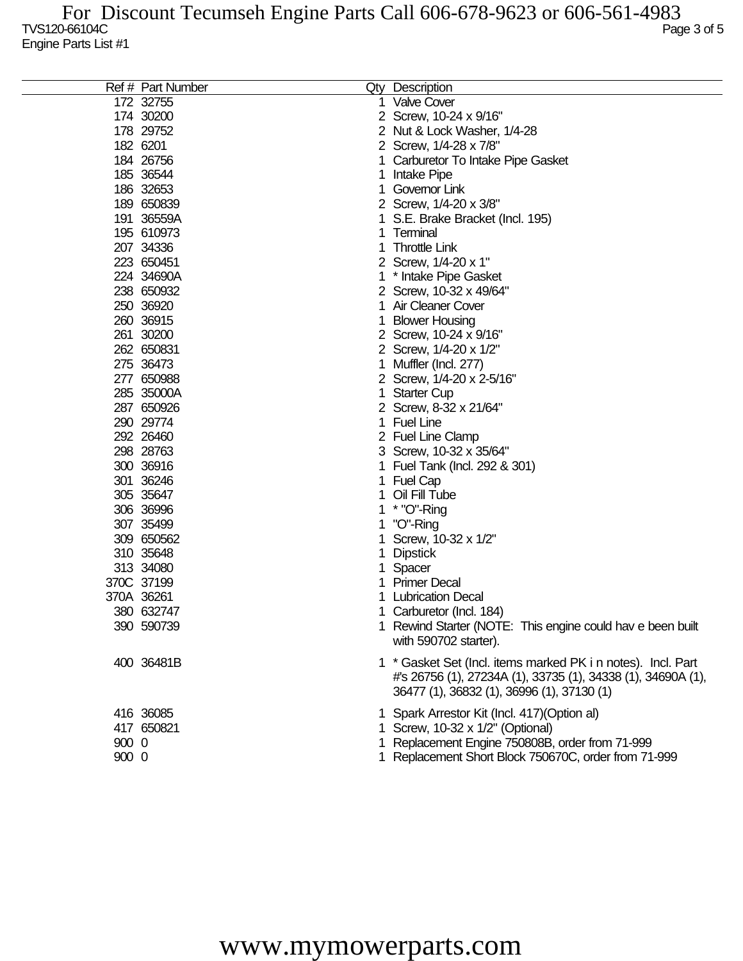|       | Ref # Part Number | Qty Description                                              |
|-------|-------------------|--------------------------------------------------------------|
|       | 172 32755         | <b>Valve Cover</b>                                           |
|       | 174 30200         | 2 Screw, 10-24 x 9/16"                                       |
|       | 178 29752         | 2 Nut & Lock Washer, 1/4-28                                  |
|       | 182 6201          | 2 Screw, 1/4-28 x 7/8"                                       |
|       | 184 26756         | Carburetor To Intake Pipe Gasket                             |
|       | 185 36544         | Intake Pipe                                                  |
|       | 186 32653         | Governor Link                                                |
|       | 189 650839        | 2 Screw, 1/4-20 x 3/8"                                       |
|       | 191 36559A        | S.E. Brake Bracket (Incl. 195)                               |
|       | 195 610973        | Terminal                                                     |
|       | 207 34336         | <b>Throttle Link</b>                                         |
|       | 223 650451        | 2 Screw, 1/4-20 x 1"                                         |
|       | 224 34690A        | * Intake Pipe Gasket                                         |
|       | 238 650932        | 2 Screw, 10-32 x 49/64"                                      |
|       | 250 36920         | Air Cleaner Cover                                            |
|       | 260 36915         | <b>Blower Housing</b>                                        |
|       | 261 30200         | 2 Screw, 10-24 x 9/16"                                       |
|       | 262 650831        | 2 Screw, 1/4-20 x 1/2"                                       |
|       | 275 36473         | Muffler (Incl. 277)                                          |
|       | 277 650988        | 2 Screw, 1/4-20 x 2-5/16"                                    |
|       | 285 35000A        | <b>Starter Cup</b>                                           |
|       | 287 650926        | 2 Screw, 8-32 x 21/64"                                       |
|       | 290 29774         | <b>Fuel Line</b>                                             |
|       | 292 26460         | 2 Fuel Line Clamp                                            |
|       | 298 28763         | 3 Screw, 10-32 x 35/64"                                      |
|       | 300 36916         | Fuel Tank (Incl. 292 & 301)                                  |
|       | 301 36246         | <b>Fuel Cap</b>                                              |
|       | 305 35647         | Oil Fill Tube                                                |
|       | 306 36996         | * "O"-Ring                                                   |
|       | 307 35499         | "O"-Ring                                                     |
|       | 309 650562        | Screw, 10-32 x 1/2"                                          |
|       | 310 35648         | <b>Dipstick</b>                                              |
|       | 313 34080         | Spacer                                                       |
|       | 370C 37199        | <b>Primer Decal</b>                                          |
|       | 370A 36261        | <b>Lubrication Decal</b>                                     |
|       | 380 632747        | Carburetor (Incl. 184)                                       |
|       | 390 590739        | 1 Rewind Starter (NOTE: This engine could hav e been built   |
|       |                   | with 590702 starter).                                        |
|       | 400 36481B        | 1 * Gasket Set (Incl. items marked PK i n notes). Incl. Part |
|       |                   | #'s 26756 (1), 27234A (1), 33735 (1), 34338 (1), 34690A (1), |
|       |                   | 36477 (1), 36832 (1), 36996 (1), 37130 (1)                   |
|       |                   |                                                              |
|       | 416 36085         | 1 Spark Arrestor Kit (Incl. 417) (Option al)                 |
|       | 417 650821        | 1 Screw, 10-32 x 1/2" (Optional)                             |
| 900 0 |                   | Replacement Engine 750808B, order from 71-999                |
| 900 0 |                   | 1 Replacement Short Block 750670C, order from 71-999         |

## www.mymowerparts.com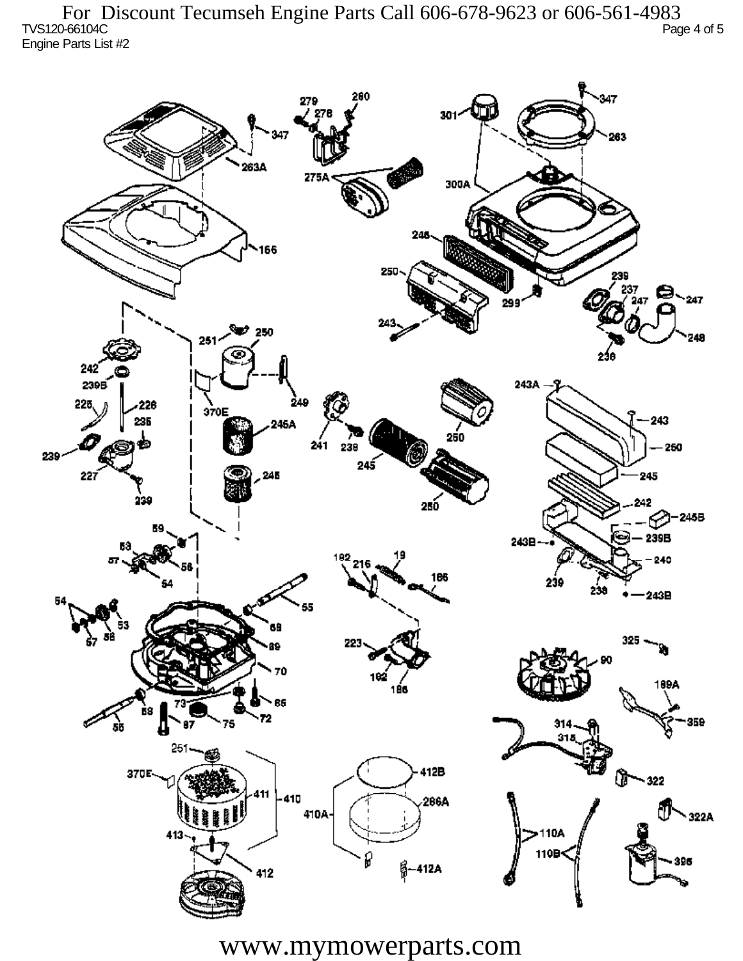TVS120-66104C Page 4 of 5 Engine Parts List #2 For Discount Tecumseh Engine Parts Call 606-678-9623 or 606-561-4983



www.mymowerparts.com